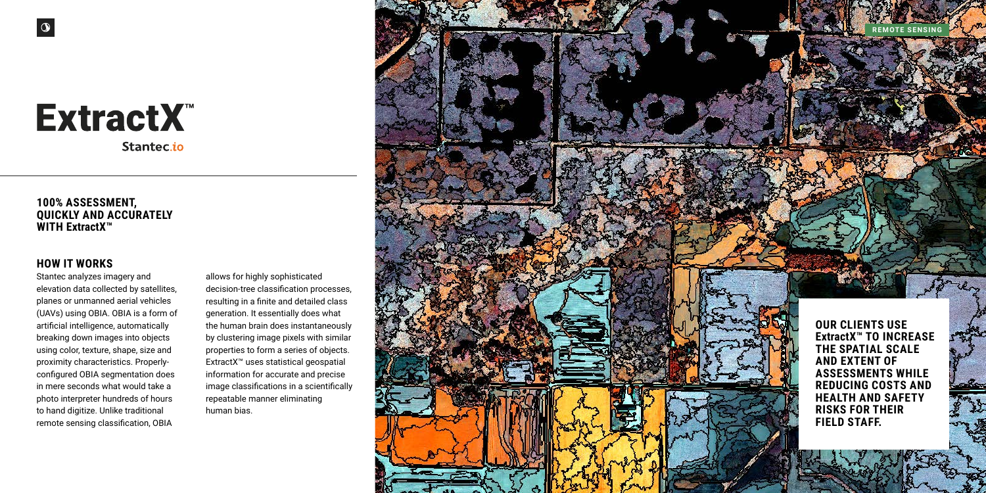# ExtractX<sup>™</sup> Stantec.io



### **100% ASSESSMENT, QUICKLY AND ACCURATELY WITH ExtractX™**

**OUR CLIENTS USE ExtractX™ TO INCREASE THE SPATIAL SCALE AND EXTENT OF ASSESSMENTS WHILE REDUCING COSTS AND HEALTH AND SAFETY RISKS FOR THEIR FIELD STAFF.** 

### **HOW IT WORKS**

Stantec analyzes imagery and elevation data collected by satellites, planes or unmanned aerial vehicles (UAVs) using OBIA. OBIA is a form of artificial intelligence, automatically breaking down images into objects using color, texture, shape, size and proximity characteristics. Properlyconfigured OBIA segmentation does in mere seconds what would take a photo interpreter hundreds of hours to hand digitize. Unlike traditional remote sensing classification, OBIA

allows for highly sophisticated decision-tree classification processes, resulting in a finite and detailed class generation. It essentially does what the human brain does instantaneously by clustering image pixels with similar properties to form a series of objects. ExtractX™ uses statistical geospatial information for accurate and precise image classifications in a scientifically repeatable manner eliminating human bias.